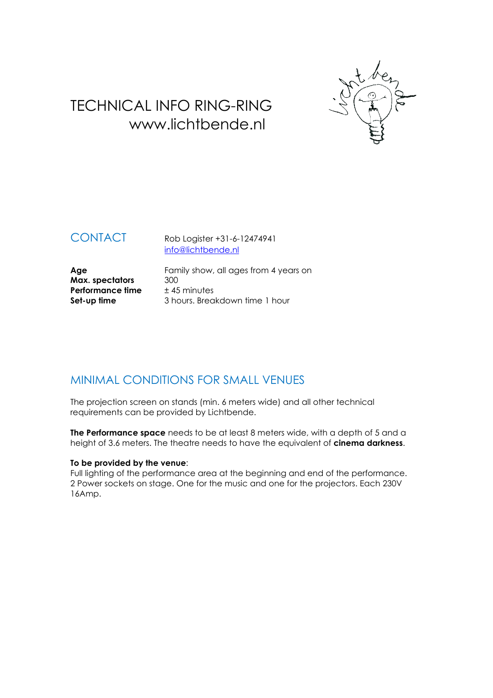

# TECHNICAL INFO RING-RING www.lichtbende.nl

CONTACT Rob Logister +31-6-12474941 [info@lichtbende.nl](mailto:info@lichtbende.nl)

**Max. spectators** 300<br>**Performance time**  $\pm 45$  minutes **Performance time** 

Age **Age** Family show, all ages from 4 years on **Max.** spectators 300 **Set-up time** 3 hours. Breakdown time 1 hour

## MINIMAL CONDITIONS FOR SMALL VENUES

The projection screen on stands (min. 6 meters wide) and all other technical requirements can be provided by Lichtbende.

**The Performance space** needs to be at least 8 meters wide, with a depth of 5 and a height of 3.6 meters. The theatre needs to have the equivalent of **cinema darkness**.

### **To be provided by the venue**:

Full lighting of the performance area at the beginning and end of the performance. 2 Power sockets on stage. One for the music and one for the projectors. Each 230V 16Amp.